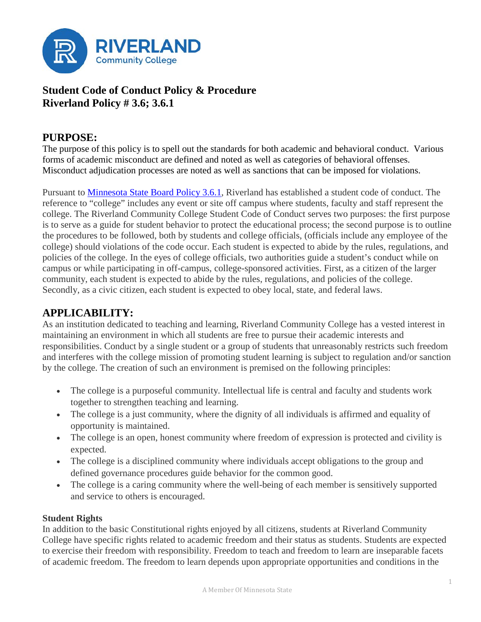

# **Student Code of Conduct Policy & Procedure Riverland Policy # 3.6; 3.6.1**

# **PURPOSE:**

The purpose of this policy is to spell out the standards for both academic and behavioral conduct. Various forms of academic misconduct are defined and noted as well as categories of behavioral offenses. Misconduct adjudication processes are noted as well as sanctions that can be imposed for violations.

Pursuant to [Minnesota State Board Policy 3.6.1,](https://www.minnstate.edu/board/procedure/306p1.html) Riverland has established a student code of conduct. The reference to "college" includes any event or site off campus where students, faculty and staff represent the college. The Riverland Community College Student Code of Conduct serves two purposes: the first purpose is to serve as a guide for student behavior to protect the educational process; the second purpose is to outline the procedures to be followed, both by students and college officials, (officials include any employee of the college) should violations of the code occur. Each student is expected to abide by the rules, regulations, and policies of the college. In the eyes of college officials, two authorities guide a student's conduct while on campus or while participating in off-campus, college-sponsored activities. First, as a citizen of the larger community, each student is expected to abide by the rules, regulations, and policies of the college. Secondly, as a civic citizen, each student is expected to obey local, state, and federal laws.

# **APPLICABILITY:**

As an institution dedicated to teaching and learning, Riverland Community College has a vested interest in maintaining an environment in which all students are free to pursue their academic interests and responsibilities. Conduct by a single student or a group of students that unreasonably restricts such freedom and interferes with the college mission of promoting student learning is subject to regulation and/or sanction by the college. The creation of such an environment is premised on the following principles:

- The college is a purposeful community. Intellectual life is central and faculty and students work together to strengthen teaching and learning.
- The college is a just community, where the dignity of all individuals is affirmed and equality of opportunity is maintained.
- The college is an open, honest community where freedom of expression is protected and civility is expected.
- The college is a disciplined community where individuals accept obligations to the group and defined governance procedures guide behavior for the common good.
- The college is a caring community where the well-being of each member is sensitively supported and service to others is encouraged.

## **Student Rights**

In addition to the basic Constitutional rights enjoyed by all citizens, students at Riverland Community College have specific rights related to academic freedom and their status as students. Students are expected to exercise their freedom with responsibility. Freedom to teach and freedom to learn are inseparable facets of academic freedom. The freedom to learn depends upon appropriate opportunities and conditions in the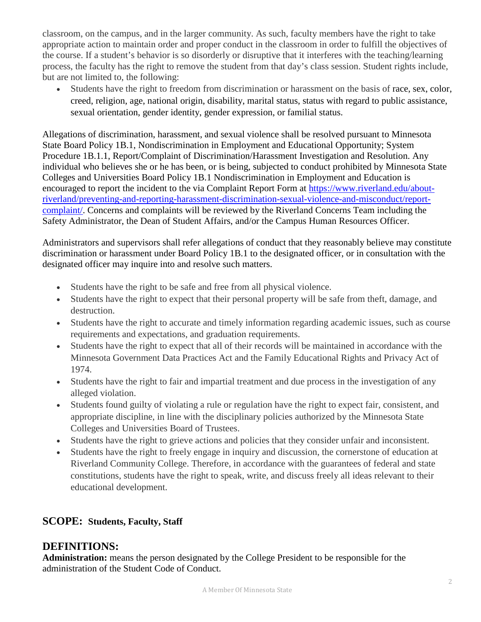classroom, on the campus, and in the larger community. As such, faculty members have the right to take appropriate action to maintain order and proper conduct in the classroom in order to fulfill the objectives of the course. If a student's behavior is so disorderly or disruptive that it interferes with the teaching/learning process, the faculty has the right to remove the student from that day's class session. Student rights include, but are not limited to, the following:

• Students have the right to freedom from discrimination or harassment on the basis of race, sex, color, creed, religion, age, national origin, disability, marital status, status with regard to public assistance, sexual orientation, gender identity, gender expression, or familial status.

Allegations of discrimination, harassment, and sexual violence shall be resolved pursuant to Minnesota State Board Policy 1B.1, Nondiscrimination in Employment and Educational Opportunity; System Procedure 1B.1.1, Report/Complaint of Discrimination/Harassment Investigation and Resolution. Any individual who believes she or he has been, or is being, subjected to conduct prohibited by Minnesota State Colleges and Universities Board Policy 1B.1 Nondiscrimination in Employment and Education is encouraged to report the incident to the via Complaint Report Form at [https://www.riverland.edu/about](https://www.riverland.edu/about-riverland/preventing-and-reporting-harassment-discrimination-sexual-violence-and-misconduct/report-complaint/)[riverland/preventing-and-reporting-harassment-discrimination-sexual-violence-and-misconduct/report](https://www.riverland.edu/about-riverland/preventing-and-reporting-harassment-discrimination-sexual-violence-and-misconduct/report-complaint/)[complaint/.](https://www.riverland.edu/about-riverland/preventing-and-reporting-harassment-discrimination-sexual-violence-and-misconduct/report-complaint/) Concerns and complaints will be reviewed by the Riverland Concerns Team including the Safety Administrator, the Dean of Student Affairs, and/or the Campus Human Resources Officer.

Administrators and supervisors shall refer allegations of conduct that they reasonably believe may constitute discrimination or harassment under Board Policy 1B.1 to the designated officer, or in consultation with the designated officer may inquire into and resolve such matters.

- Students have the right to be safe and free from all physical violence.
- Students have the right to expect that their personal property will be safe from theft, damage, and destruction.
- Students have the right to accurate and timely information regarding academic issues, such as course requirements and expectations, and graduation requirements.
- Students have the right to expect that all of their records will be maintained in accordance with the Minnesota Government Data Practices Act and the Family Educational Rights and Privacy Act of 1974.
- Students have the right to fair and impartial treatment and due process in the investigation of any alleged violation.
- Students found guilty of violating a rule or regulation have the right to expect fair, consistent, and appropriate discipline, in line with the disciplinary policies authorized by the Minnesota State Colleges and Universities Board of Trustees.
- Students have the right to grieve actions and policies that they consider unfair and inconsistent.
- Students have the right to freely engage in inquiry and discussion, the cornerstone of education at Riverland Community College. Therefore, in accordance with the guarantees of federal and state constitutions, students have the right to speak, write, and discuss freely all ideas relevant to their educational development.

# **SCOPE: Students, Faculty, Staff**

# **DEFINITIONS:**

**Administration:** means the person designated by the College President to be responsible for the administration of the Student Code of Conduct.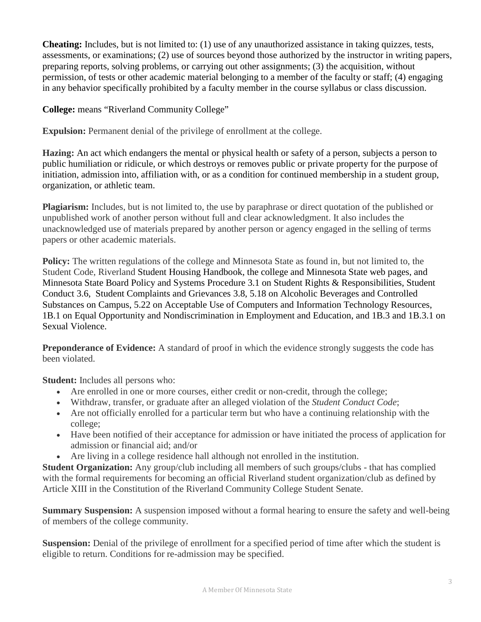**Cheating:** Includes, but is not limited to: (1) use of any unauthorized assistance in taking quizzes, tests, assessments, or examinations; (2) use of sources beyond those authorized by the instructor in writing papers, preparing reports, solving problems, or carrying out other assignments; (3) the acquisition, without permission, of tests or other academic material belonging to a member of the faculty or staff; (4) engaging in any behavior specifically prohibited by a faculty member in the course syllabus or class discussion.

**College:** means "Riverland Community College"

**Expulsion:** Permanent denial of the privilege of enrollment at the college.

**Hazing:** An act which endangers the mental or physical health or safety of a person, subjects a person to public humiliation or ridicule, or which destroys or removes public or private property for the purpose of initiation, admission into, affiliation with, or as a condition for continued membership in a student group, organization, or athletic team.

**Plagiarism:** Includes, but is not limited to, the use by paraphrase or direct quotation of the published or unpublished work of another person without full and clear acknowledgment. It also includes the unacknowledged use of materials prepared by another person or agency engaged in the selling of terms papers or other academic materials.

**Policy:** The written regulations of the college and Minnesota State as found in, but not limited to, the Student Code, Riverland Student Housing Handbook, the college and Minnesota State web pages, and Minnesota State Board Policy and [Systems Procedure](http://www.mnscu.edu/board/policy/518.html) 3.1 on [Student Rights & Responsibilities,](http://www.mnscu.edu/board/policy/301.html) [Student](http://www.mnscu.edu/board/policy/306.html)  [Conduct](http://www.mnscu.edu/board/policy/306.html) 3.6, [Student Complaints and Grievances](http://www.mnscu.edu/board/policy/308.html) 3.8, [5.18](http://www.mnscu.edu/board/policy/518.html) on Alcoholic Beverages and Controlled Substances on Campus, [5.22](http://www.mnscu.edu/board/procedure/522p1.html) on Acceptable Use of Computers and Information Technology Resources, 1B.1 on Equal Opportunity and Nondiscrimination in Employment and Education, and 1B.3 and 1B.3.1 on Sexual Violence.

**Preponderance of Evidence:** A standard of proof in which the evidence strongly suggests the code has been violated.

**Student:** Includes all persons who:

- Are enrolled in one or more courses, either credit or non-credit, through the college;
- Withdraw, transfer, or graduate after an alleged violation of the *Student Conduct Code*;
- Are not officially enrolled for a particular term but who have a continuing relationship with the college;
- Have been notified of their acceptance for admission or have initiated the process of application for admission or financial aid; and/or
- Are living in a college residence hall although not enrolled in the institution.

**Student Organization:** Any group/club including all members of such groups/clubs - that has complied with the formal requirements for becoming an official Riverland student organization/club as defined by Article XIII in the Constitution of the Riverland Community College Student Senate.

**Summary Suspension:** A suspension imposed without a formal hearing to ensure the safety and well-being of members of the college community.

**Suspension:** Denial of the privilege of enrollment for a specified period of time after which the student is eligible to return. Conditions for re-admission may be specified.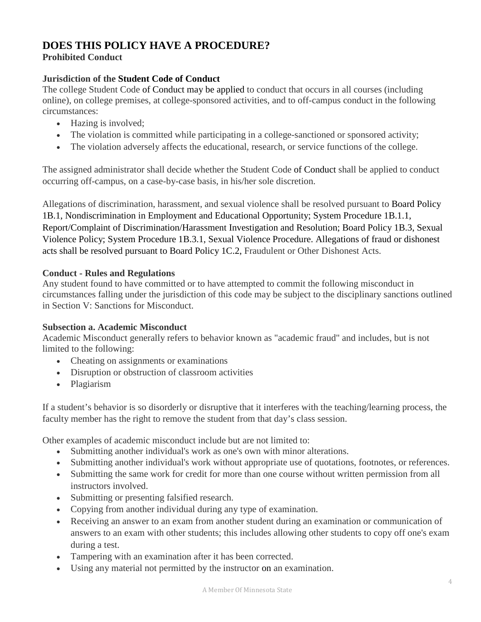# **DOES THIS POLICY HAVE A PROCEDURE?**

# **Prohibited Conduct**

# **Jurisdiction of the Student Code of Conduct**

The college Student Code of Conduct may be applied to conduct that occurs in all courses (including online), on college premises, at college-sponsored activities, and to off-campus conduct in the following circumstances:

- Hazing is involved;
- The violation is committed while participating in a college-sanctioned or sponsored activity;
- The violation adversely affects the educational, research, or service functions of the college.

The assigned administrator shall decide whether the Student Code of Conduct shall be applied to conduct occurring off-campus, on a case-by-case basis, in his/her sole discretion.

Allegations of discrimination, harassment, and sexual violence shall be resolved pursuant to [Board Policy](http://www.mnscu.edu/board/policy/1b01.html)  [1B.1,](http://www.mnscu.edu/board/policy/1b01.html) Nondiscrimination in Employment and Educational Opportunity; [System Procedure 1B.1.1,](http://www.mnscu.edu/board/procedure/1b01p1.html) Report/Complaint of Discrimination/Harassment Investigation and Resolution; Board [Policy 1B.3,](http://www.mnscu.edu/board/policy/1b03.html) Sexual Violence Policy; [System Procedure 1B.3.1,](http://www.mnscu.edu/board/procedure/1b03p1.html) Sexual Violence Procedure. Allegations of fraud or dishonest acts shall be resolved pursuant to [Board Policy 1C.2,](http://www.mnscu.edu/board/policy/1c02.html) Fraudulent or Other Dishonest Acts.

# **Conduct - Rules and Regulations**

Any student found to have committed or to have attempted to commit the following misconduct in circumstances falling under the jurisdiction of this code may be subject to the disciplinary sanctions outlined in Section V: Sanctions for Misconduct.

## **Subsection a. Academic Misconduct**

Academic Misconduct generally refers to behavior known as "academic fraud" and includes, but is not limited to the following:

- Cheating on assignments or examinations
- Disruption or obstruction of classroom activities
- Plagiarism

If a student's behavior is so disorderly or disruptive that it interferes with the teaching/learning process, the faculty member has the right to remove the student from that day's class session.

Other examples of academic misconduct include but are not limited to:

- Submitting another individual's work as one's own with minor alterations.
- Submitting another individual's work without appropriate use of quotations, footnotes, or references.
- Submitting the same work for credit for more than one course without written permission from all instructors involved.
- Submitting or presenting falsified research.
- Copying from another individual during any type of examination.
- Receiving an answer to an exam from another student during an examination or communication of answers to an exam with other students; this includes allowing other students to copy off one's exam during a test.
- Tampering with an examination after it has been corrected.
- Using any material not permitted by the instructor on an examination.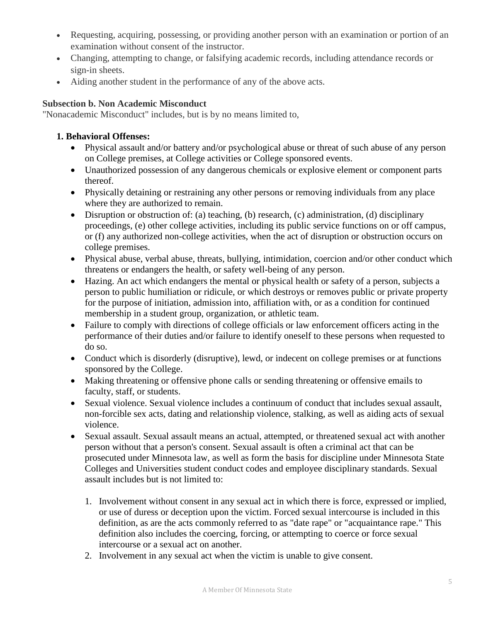- Requesting, acquiring, possessing, or providing another person with an examination or portion of an examination without consent of the instructor.
- Changing, attempting to change, or falsifying academic records, including attendance records or sign-in sheets.
- Aiding another student in the performance of any of the above acts.

#### **Subsection b. Non Academic Misconduct**

"Nonacademic Misconduct" includes, but is by no means limited to,

#### **1. Behavioral Offenses:**

- Physical assault and/or battery and/or psychological abuse or threat of such abuse of any person on College premises, at College activities or College sponsored events.
- Unauthorized possession of any dangerous chemicals or explosive element or component parts thereof.
- Physically detaining or restraining any other persons or removing individuals from any place where they are authorized to remain.
- Disruption or obstruction of: (a) teaching, (b) research, (c) administration, (d) disciplinary proceedings, (e) other college activities, including its public service functions on or off campus, or (f) any authorized non-college activities, when the act of disruption or obstruction occurs on college premises.
- Physical abuse, verbal abuse, threats, bullying, intimidation, coercion and/or other conduct which threatens or endangers the health, or safety well-being of any person.
- Hazing. An act which endangers the mental or physical health or safety of a person, subjects a person to public humiliation or ridicule, or which destroys or removes public or private property for the purpose of initiation, admission into, affiliation with, or as a condition for continued membership in a student group, organization, or athletic team.
- Failure to comply with directions of college officials or law enforcement officers acting in the performance of their duties and/or failure to identify oneself to these persons when requested to do so.
- Conduct which is disorderly (disruptive), lewd, or indecent on college premises or at functions sponsored by the College.
- Making threatening or offensive phone calls or sending threatening or offensive emails to faculty, staff, or students.
- Sexual violence. Sexual violence includes a continuum of conduct that includes sexual assault, non-forcible sex acts, dating and relationship violence, stalking, as well as aiding acts of sexual violence.
- Sexual assault. Sexual assault means an actual, attempted, or threatened sexual act with another person without that a person's consent. Sexual assault is often a criminal act that can be prosecuted under Minnesota law, as well as form the basis for discipline under Minnesota State Colleges and Universities student conduct codes and employee disciplinary standards. Sexual assault includes but is not limited to:
	- 1. Involvement without consent in any sexual act in which there is force, expressed or implied, or use of duress or deception upon the victim. Forced sexual intercourse is included in this definition, as are the acts commonly referred to as "date rape" or "acquaintance rape." This definition also includes the coercing, forcing, or attempting to coerce or force sexual intercourse or a sexual act on another.
	- 2. Involvement in any sexual act when the victim is unable to give consent.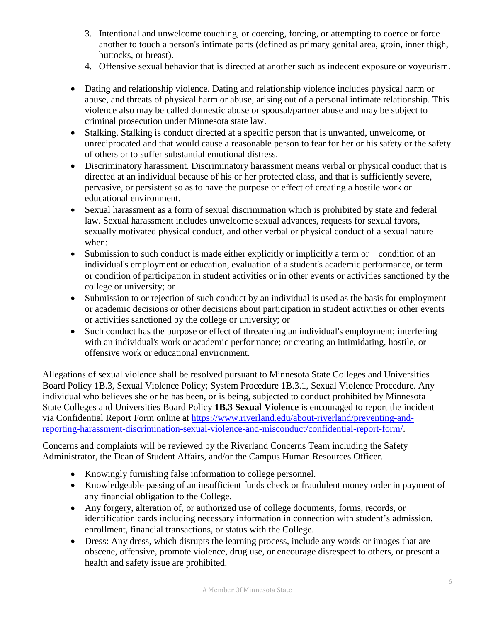- 3. Intentional and unwelcome touching, or coercing, forcing, or attempting to coerce or force another to touch a person's intimate parts (defined as primary genital area, groin, inner thigh, buttocks, or breast).
- 4. Offensive sexual behavior that is directed at another such as indecent exposure or voyeurism.
- Dating and relationship violence. Dating and relationship violence includes physical harm or abuse, and threats of physical harm or abuse, arising out of a personal intimate relationship. This violence also may be called domestic abuse or spousal/partner abuse and may be subject to criminal prosecution under Minnesota state law.
- Stalking. Stalking is conduct directed at a specific person that is unwanted, unwelcome, or unreciprocated and that would cause a reasonable person to fear for her or his safety or the safety of others or to suffer substantial emotional distress.
- Discriminatory harassment. Discriminatory harassment means verbal or physical conduct that is directed at an individual because of his or her protected class, and that is sufficiently severe, pervasive, or persistent so as to have the purpose or effect of creating a hostile work or educational environment.
- Sexual harassment as a form of sexual discrimination which is prohibited by state and federal law. Sexual harassment includes unwelcome sexual advances, requests for sexual favors, sexually motivated physical conduct, and other verbal or physical conduct of a sexual nature when:
- Submission to such conduct is made either explicitly or implicitly a term or condition of an individual's employment or education, evaluation of a student's academic performance, or term or condition of participation in student activities or in other events or activities sanctioned by the college or university; or
- Submission to or rejection of such conduct by an individual is used as the basis for employment or academic decisions or other decisions about participation in student activities or other events or activities sanctioned by the college or university; or
- Such conduct has the purpose or effect of threatening an individual's employment; interfering with an individual's work or academic performance; or creating an intimidating, hostile, or offensive work or educational environment.

Allegations of sexual violence shall be resolved pursuant to Minnesota State Colleges and Universities Board Policy 1B.3, Sexual Violence Policy; System Procedure 1B.3.1, Sexual Violence Procedure. Any individual who believes she or he has been, or is being, subjected to conduct prohibited by Minnesota State Colleges and Universities Board Policy **1B.3 Sexual Violence** is encouraged to report the incident via Confidential Report Form online at [https://www.riverland.edu/about-riverland/preventing-and](https://www.riverland.edu/about-riverland/preventing-and-reporting-harassment-discrimination-sexual-violence-and-misconduct/confidential-report-form/)[reporting-harassment-discrimination-sexual-violence-and-misconduct/confidential-report-form/.](https://www.riverland.edu/about-riverland/preventing-and-reporting-harassment-discrimination-sexual-violence-and-misconduct/confidential-report-form/)

Concerns and complaints will be reviewed by the Riverland Concerns Team including the Safety Administrator, the Dean of Student Affairs, and/or the Campus Human Resources Officer.

- Knowingly furnishing false information to college personnel.
- Knowledgeable passing of an insufficient funds check or fraudulent money order in payment of any financial obligation to the College.
- Any forgery, alteration of, or authorized use of college documents, forms, records, or identification cards including necessary information in connection with student's admission, enrollment, financial transactions, or status with the College.
- Dress: Any dress, which disrupts the learning process, include any words or images that are obscene, offensive, promote violence, drug use, or encourage disrespect to others, or present a health and safety issue are prohibited.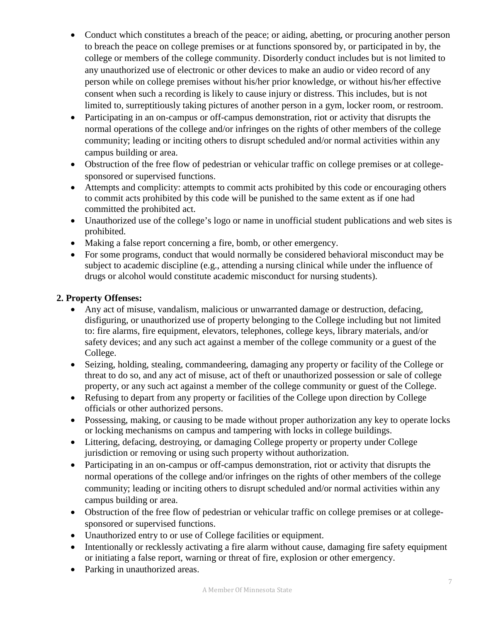- Conduct which constitutes a breach of the peace; or aiding, abetting, or procuring another person to breach the peace on college premises or at functions sponsored by, or participated in by, the college or members of the college community. Disorderly conduct includes but is not limited to any unauthorized use of electronic or other devices to make an audio or video record of any person while on college premises without his/her prior knowledge, or without his/her effective consent when such a recording is likely to cause injury or distress. This includes, but is not limited to, surreptitiously taking pictures of another person in a gym, locker room, or restroom.
- Participating in an on-campus or off-campus demonstration, riot or activity that disrupts the normal operations of the college and/or infringes on the rights of other members of the college community; leading or inciting others to disrupt scheduled and/or normal activities within any campus building or area.
- Obstruction of the free flow of pedestrian or vehicular traffic on college premises or at collegesponsored or supervised functions.
- Attempts and complicity: attempts to commit acts prohibited by this code or encouraging others to commit acts prohibited by this code will be punished to the same extent as if one had committed the prohibited act.
- Unauthorized use of the college's logo or name in unofficial student publications and web sites is prohibited.
- Making a false report concerning a fire, bomb, or other emergency.
- For some programs, conduct that would normally be considered behavioral misconduct may be subject to academic discipline (e.g., attending a nursing clinical while under the influence of drugs or alcohol would constitute academic misconduct for nursing students).

# **2. Property Offenses:**

- Any act of misuse, vandalism, malicious or unwarranted damage or destruction, defacing, disfiguring, or unauthorized use of property belonging to the College including but not limited to: fire alarms, fire equipment, elevators, telephones, college keys, library materials, and/or safety devices; and any such act against a member of the college community or a guest of the College.
- Seizing, holding, stealing, commandeering, damaging any property or facility of the College or threat to do so, and any act of misuse, act of theft or unauthorized possession or sale of college property, or any such act against a member of the college community or guest of the College.
- Refusing to depart from any property or facilities of the College upon direction by College officials or other authorized persons.
- Possessing, making, or causing to be made without proper authorization any key to operate locks or locking mechanisms on campus and tampering with locks in college buildings.
- Littering, defacing, destroying, or damaging College property or property under College jurisdiction or removing or using such property without authorization.
- Participating in an on-campus or off-campus demonstration, riot or activity that disrupts the normal operations of the college and/or infringes on the rights of other members of the college community; leading or inciting others to disrupt scheduled and/or normal activities within any campus building or area.
- Obstruction of the free flow of pedestrian or vehicular traffic on college premises or at collegesponsored or supervised functions.
- Unauthorized entry to or use of College facilities or equipment.
- Intentionally or recklessly activating a fire alarm without cause, damaging fire safety equipment or initiating a false report, warning or threat of fire, explosion or other emergency.
- Parking in unauthorized areas.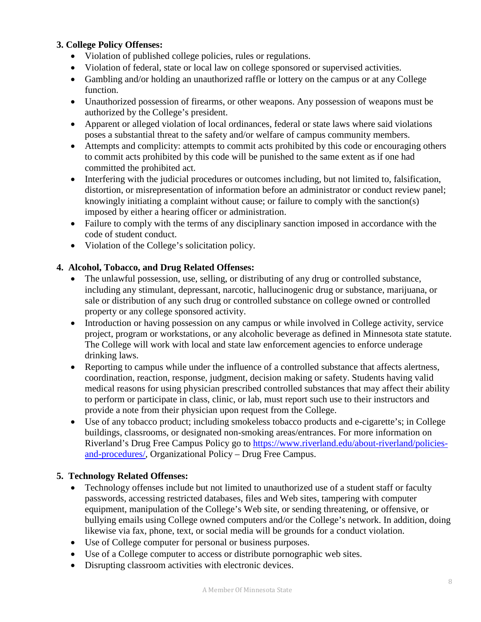#### **3. College Policy Offenses:**

- Violation of published college policies, rules or regulations.
- Violation of federal, state or local law on college sponsored or supervised activities.
- Gambling and/or holding an unauthorized raffle or lottery on the campus or at any College function.
- Unauthorized possession of firearms, or other weapons. Any possession of weapons must be authorized by the College's president.
- Apparent or alleged violation of local ordinances, federal or state laws where said violations poses a substantial threat to the safety and/or welfare of campus community members.
- Attempts and complicity: attempts to commit acts prohibited by this code or encouraging others to commit acts prohibited by this code will be punished to the same extent as if one had committed the prohibited act.
- Interfering with the judicial procedures or outcomes including, but not limited to, falsification, distortion, or misrepresentation of information before an administrator or conduct review panel; knowingly initiating a complaint without cause; or failure to comply with the sanction(s) imposed by either a hearing officer or administration.
- Failure to comply with the terms of any disciplinary sanction imposed in accordance with the code of student conduct.
- Violation of the College's solicitation policy.

#### **4. Alcohol, Tobacco, and Drug Related Offenses:**

- The unlawful possession, use, selling, or distributing of any drug or controlled substance, including any stimulant, depressant, narcotic, hallucinogenic drug or substance, marijuana, or sale or distribution of any such drug or controlled substance on college owned or controlled property or any college sponsored activity.
- Introduction or having possession on any campus or while involved in College activity, service project, program or workstations, or any alcoholic beverage as defined in Minnesota state statute. The College will work with local and state law enforcement agencies to enforce underage drinking laws.
- Reporting to campus while under the influence of a controlled substance that affects alertness, coordination, reaction, response, judgment, decision making or safety. Students having valid medical reasons for using physician prescribed controlled substances that may affect their ability to perform or participate in class, clinic, or lab, must report such use to their instructors and provide a note from their physician upon request from the College.
- Use of any tobacco product; including smokeless tobacco products and e-cigarette's; in College buildings, classrooms, or designated non-smoking areas/entrances. For more information on Riverland's Drug Free Campus Policy go to [https://www.riverland.edu/about-riverland/policies](https://www.riverland.edu/about-riverland/policies-and-procedures/)[and-procedures/,](https://www.riverland.edu/about-riverland/policies-and-procedures/) Organizational Policy – Drug Free Campus.

#### **5. Technology Related Offenses:**

- Technology offenses include but not limited to unauthorized use of a student staff or faculty passwords, accessing restricted databases, files and Web sites, tampering with computer equipment, manipulation of the College's Web site, or sending threatening, or offensive, or bullying emails using College owned computers and/or the College's network. In addition, doing likewise via fax, phone, text, or social media will be grounds for a conduct violation.
- Use of College computer for personal or business purposes.
- Use of a College computer to access or distribute pornographic web sites.
- Disrupting classroom activities with electronic devices.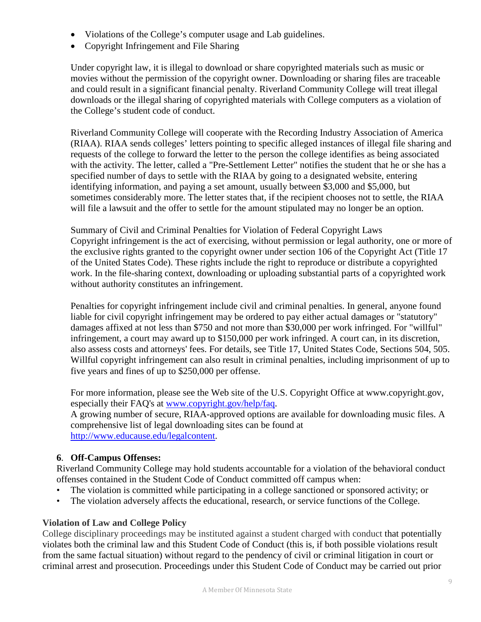- Violations of the College's computer usage and Lab guidelines.
- Copyright Infringement and File Sharing

Under copyright law, it is illegal to download or share copyrighted materials such as music or movies without the permission of the copyright owner. Downloading or sharing files are traceable and could result in a significant financial penalty. Riverland Community College will treat illegal downloads or the illegal sharing of copyrighted materials with College computers as a violation of the College's student code of conduct.

Riverland Community College will cooperate with the Recording Industry Association of America (RIAA). RIAA sends colleges' letters pointing to specific alleged instances of illegal file sharing and requests of the college to forward the letter to the person the college identifies as being associated with the activity. The letter, called a "Pre-Settlement Letter" notifies the student that he or she has a specified number of days to settle with the RIAA by going to a designated website, entering identifying information, and paying a set amount, usually between \$3,000 and \$5,000, but sometimes considerably more. The letter states that, if the recipient chooses not to settle, the RIAA will file a lawsuit and the offer to settle for the amount stipulated may no longer be an option.

Summary of Civil and Criminal Penalties for Violation of Federal Copyright Laws Copyright infringement is the act of exercising, without permission or legal authority, one or more of the exclusive rights granted to the copyright owner under section 106 of the Copyright Act (Title 17 of the United States Code). These rights include the right to reproduce or distribute a copyrighted work. In the file-sharing context, downloading or uploading substantial parts of a copyrighted work without authority constitutes an infringement.

Penalties for copyright infringement include civil and criminal penalties. In general, anyone found liable for civil copyright infringement may be ordered to pay either actual damages or "statutory" damages affixed at not less than \$750 and not more than \$30,000 per work infringed. For "willful" infringement, a court may award up to \$150,000 per work infringed. A court can, in its discretion, also assess costs and attorneys' fees. For details, see Title 17, United States Code, Sections 504, 505. Willful copyright infringement can also result in criminal penalties, including imprisonment of up to five years and fines of up to \$250,000 per offense.

For more information, please see the Web site of the U.S. Copyright Office at www.copyright.gov, especially their FAQ's at [www.copyright.gov/help/faq.](http://www.copyright.gov/help/faq) A growing number of secure, RIAA-approved options are available for downloading music files. A comprehensive list of legal downloading sites can be found at

[http://www.educause.edu/legalcontent.](http://www.educause.edu/legalcontent)

## **6**. **Off-Campus Offenses:**

Riverland Community College may hold students accountable for a violation of the behavioral conduct offenses contained in the Student Code of Conduct committed off campus when:

- The violation is committed while participating in a college sanctioned or sponsored activity; or
- The violation adversely affects the educational, research, or service functions of the College.

## **Violation of Law and College Policy**

College disciplinary proceedings may be instituted against a student charged with conduct that potentially violates both the criminal law and this Student Code of Conduct (this is, if both possible violations result from the same factual situation) without regard to the pendency of civil or criminal litigation in court or criminal arrest and prosecution. Proceedings under this Student Code of Conduct may be carried out prior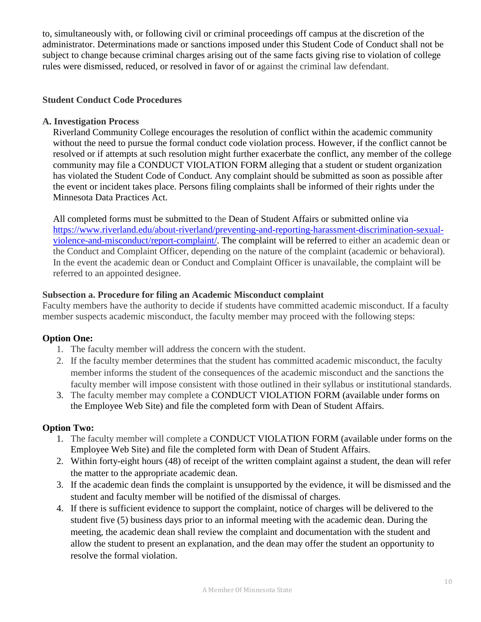to, simultaneously with, or following civil or criminal proceedings off campus at the discretion of the administrator. Determinations made or sanctions imposed under this Student Code of Conduct shall not be subject to change because criminal charges arising out of the same facts giving rise to violation of college rules were dismissed, reduced, or resolved in favor of or against the criminal law defendant.

#### **Student Conduct Code Procedures**

#### **A. Investigation Process**

Riverland Community College encourages the resolution of conflict within the academic community without the need to pursue the formal conduct code violation process. However, if the conflict cannot be resolved or if attempts at such resolution might further exacerbate the conflict, any member of the college community may file a CONDUCT VIOLATION FORM alleging that a student or student organization has violated the Student Code of Conduct. Any complaint should be submitted as soon as possible after the event or incident takes place. Persons filing complaints shall be informed of their rights under the [Minnesota Data Practices Act.](http://www.house.leg.state.mn.us/hrd/pubs/dataprac.pdf)

All completed forms must be submitted to the Dean of Student Affairs or submitted online via [https://www.riverland.edu/about-riverland/preventing-and-reporting-harassment-discrimination-sexual](https://www.riverland.edu/about-riverland/preventing-and-reporting-harassment-discrimination-sexual-violence-and-misconduct/report-complaint/)[violence-and-misconduct/report-complaint/.](https://www.riverland.edu/about-riverland/preventing-and-reporting-harassment-discrimination-sexual-violence-and-misconduct/report-complaint/) The complaint will be referred to either an academic dean or the Conduct and Complaint Officer, depending on the nature of the complaint (academic or behavioral). In the event the academic dean or Conduct and Complaint Officer is unavailable, the complaint will be referred to an appointed designee.

#### **Subsection a. Procedure for filing an Academic Misconduct complaint**

Faculty members have the authority to decide if students have committed academic misconduct. If a faculty member suspects academic misconduct, the faculty member may proceed with the following steps:

## **Option One:**

- 1. The faculty member will address the concern with the student.
- 2. If the faculty member determines that the student has committed academic misconduct, the faculty member informs the student of the consequences of the academic misconduct and the sanctions the faculty member will impose consistent with those outlined in their syllabus or institutional standards.
- 3. The faculty member may complete a CONDUCT VIOLATION FORM (available under forms on the Employee Web Site) and file the completed form with Dean of Student Affairs.

## **Option Two:**

- 1. The faculty member will complete a CONDUCT VIOLATION FORM (available under forms on the Employee Web Site) and file the completed form with Dean of Student Affairs.
- 2. Within forty-eight hours (48) of receipt of the written complaint against a student, the dean will refer the matter to the appropriate academic dean.
- 3. If the academic dean finds the complaint is unsupported by the evidence, it will be dismissed and the student and faculty member will be notified of the dismissal of charges.
- 4. If there is sufficient evidence to support the complaint, notice of charges will be delivered to the student five (5) business days prior to an informal meeting with the academic dean. During the meeting, the academic dean shall review the complaint and documentation with the student and allow the student to present an explanation, and the dean may offer the student an opportunity to resolve the formal violation.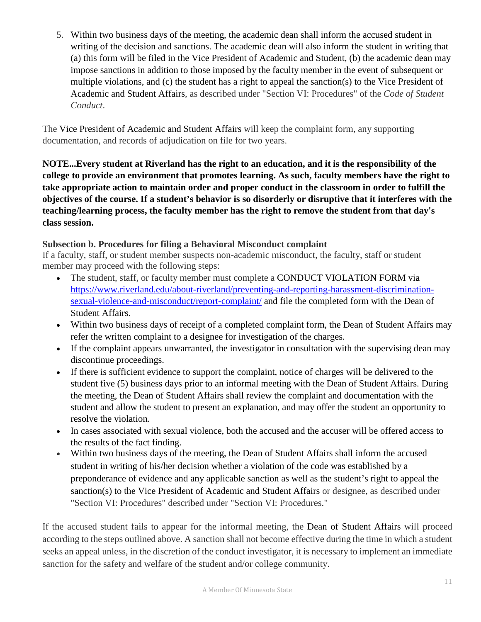5. Within two business days of the meeting, the academic dean shall inform the accused student in writing of the decision and sanctions. The academic dean will also inform the student in writing that (a) this form will be filed in the Vice President of Academic and Student, (b) the academic dean may impose sanctions in addition to those imposed by the faculty member in the event of subsequent or multiple violations, and (c) the student has a right to appeal the sanction(s) to the Vice President of Academic and Student Affairs, as described under "Section VI: Procedures" of the *Code of Student Conduct*.

The Vice President of Academic and Student Affairs will keep the complaint form, any supporting documentation, and records of adjudication on file for two years.

**NOTE...Every student at Riverland has the right to an education, and it is the responsibility of the college to provide an environment that promotes learning. As such, faculty members have the right to take appropriate action to maintain order and proper conduct in the classroom in order to fulfill the objectives of the course. If a student's behavior is so disorderly or disruptive that it interferes with the teaching/learning process, the faculty member has the right to remove the student from that day's class session.**

## **Subsection b. Procedures for filing a Behavioral Misconduct complaint**

If a faculty, staff, or student member suspects non-academic misconduct, the faculty, staff or student member may proceed with the following steps:

- The student, staff, or faculty member must complete a CONDUCT VIOLATION FORM via [https://www.riverland.edu/about-riverland/preventing-and-reporting-harassment-discrimination](https://www.riverland.edu/about-riverland/preventing-and-reporting-harassment-discrimination-sexual-violence-and-misconduct/report-complaint/)[sexual-violence-and-misconduct/report-complaint/](https://www.riverland.edu/about-riverland/preventing-and-reporting-harassment-discrimination-sexual-violence-and-misconduct/report-complaint/) and file the completed form with the Dean of Student Affairs.
- Within two business days of receipt of a completed complaint form, the Dean of Student Affairs may refer the written complaint to a designee for investigation of the charges.
- If the complaint appears unwarranted, the investigator in consultation with the supervising dean may discontinue proceedings.
- If there is sufficient evidence to support the complaint, notice of charges will be delivered to the student five (5) business days prior to an informal meeting with the Dean of Student Affairs. During the meeting, the Dean of Student Affairs shall review the complaint and documentation with the student and allow the student to present an explanation, and may offer the student an opportunity to resolve the violation.
- In cases associated with sexual violence, both the accused and the accuser will be offered access to the results of the fact finding.
- Within two business days of the meeting, the Dean of Student Affairs shall inform the accused student in writing of his/her decision whether a violation of the code was established by a preponderance of evidence and any applicable sanction as well as the student's right to appeal the sanction(s) to the Vice President of Academic and Student Affairs or designee, as described under "Section VI: Procedures" described under "Section VI: Procedures."

If the accused student fails to appear for the informal meeting, the Dean of Student Affairs will proceed according to the steps outlined above. A sanction shall not become effective during the time in which a student seeks an appeal unless, in the discretion of the conduct investigator, it is necessary to implement an immediate sanction for the safety and welfare of the student and/or college community.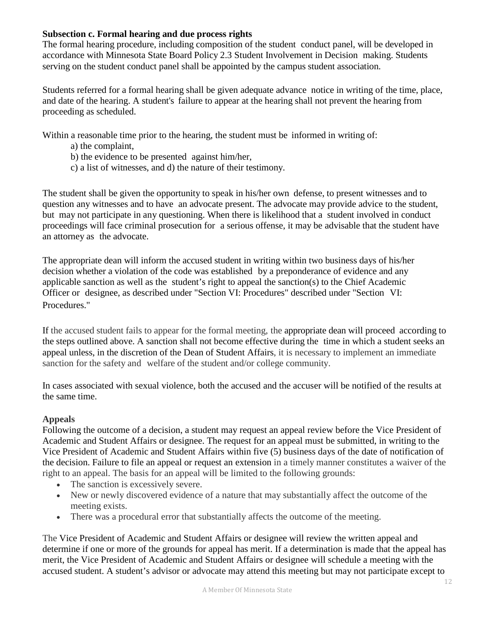#### **Subsection c. Formal hearing and due process rights**

The formal hearing procedure, including composition of the student conduct panel, will be developed in accordance with Minnesota State Board Policy 2.3 Student Involvement in Decision making. Students serving on the student conduct panel shall be appointed by the campus student association.

Students referred for a formal hearing shall be given adequate advance notice in writing of the time, place, and date of the hearing. A student's failure to appear at the hearing shall not prevent the hearing from proceeding as scheduled.

Within a reasonable time prior to the hearing, the student must be informed in writing of:

- a) the complaint,
- b) the evidence to be presented against him/her,
- c) a list of witnesses, and d) the nature of their testimony.

The student shall be given the opportunity to speak in his/her own defense, to present witnesses and to question any witnesses and to have an advocate present. The advocate may provide advice to the student, but may not participate in any questioning. When there is likelihood that a student involved in conduct proceedings will face criminal prosecution for a serious offense, it may be advisable that the student have an attorney as the advocate.

The appropriate dean will inform the accused student in writing within two business days of his/her decision whether a violation of the code was established by a preponderance of evidence and any applicable sanction as well as the student's right to appeal the sanction(s) to the Chief Academic Officer or designee, as described under "Section VI: Procedures" described under "Section VI: Procedures."

If the accused student fails to appear for the formal meeting, the appropriate dean will proceed according to the steps outlined above. A sanction shall not become effective during the time in which a student seeks an appeal unless, in the discretion of the Dean of Student Affairs, it is necessary to implement an immediate sanction for the safety and welfare of the student and/or college community.

In cases associated with sexual violence, both the accused and the accuser will be notified of the results at the same time.

#### **Appeals**

Following the outcome of a decision, a student may request an appeal review before the Vice President of Academic and Student Affairs or designee. The request for an appeal must be submitted, in writing to the Vice President of Academic and Student Affairs within five (5) business days of the date of notification of the decision. Failure to file an appeal or request an extension in a timely manner constitutes a waiver of the right to an appeal. The basis for an appeal will be limited to the following grounds:

- The sanction is excessively severe.
- New or newly discovered evidence of a nature that may substantially affect the outcome of the meeting exists.
- There was a procedural error that substantially affects the outcome of the meeting.

The Vice President of Academic and Student Affairs or designee will review the written appeal and determine if one or more of the grounds for appeal has merit. If a determination is made that the appeal has merit, the Vice President of Academic and Student Affairs or designee will schedule a meeting with the accused student. A student's advisor or advocate may attend this meeting but may not participate except to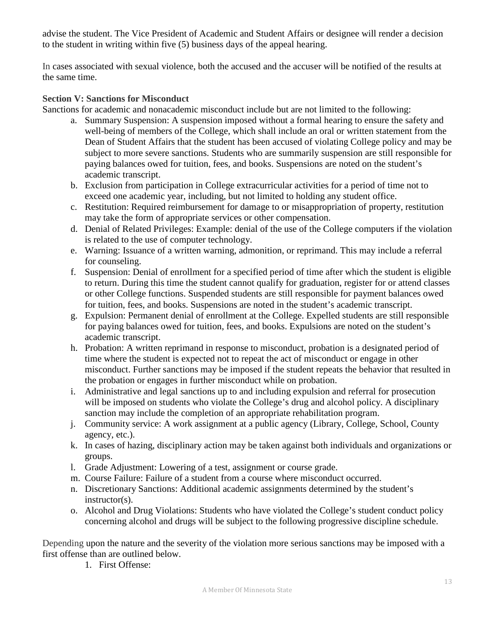advise the student. The Vice President of Academic and Student Affairs or designee will render a decision to the student in writing within five (5) business days of the appeal hearing.

In cases associated with sexual violence, both the accused and the accuser will be notified of the results at the same time.

#### **Section V: Sanctions for Misconduct**

Sanctions for academic and nonacademic misconduct include but are not limited to the following:

- a. Summary Suspension: A suspension imposed without a formal hearing to ensure the safety and well-being of members of the College, which shall include an oral or written statement from the Dean of Student Affairs that the student has been accused of violating College policy and may be subject to more severe sanctions. Students who are summarily suspension are still responsible for paying balances owed for tuition, fees, and books. Suspensions are noted on the student's academic transcript.
- b. Exclusion from participation in College extracurricular activities for a period of time not to exceed one academic year, including, but not limited to holding any student office.
- c. Restitution: Required reimbursement for damage to or misappropriation of property, restitution may take the form of appropriate services or other compensation.
- d. Denial of Related Privileges: Example: denial of the use of the College computers if the violation is related to the use of computer technology.
- e. Warning: Issuance of a written warning, admonition, or reprimand. This may include a referral for counseling.
- f. Suspension: Denial of enrollment for a specified period of time after which the student is eligible to return. During this time the student cannot qualify for graduation, register for or attend classes or other College functions. Suspended students are still responsible for payment balances owed for tuition, fees, and books. Suspensions are noted in the student's academic transcript.
- g. Expulsion: Permanent denial of enrollment at the College. Expelled students are still responsible for paying balances owed for tuition, fees, and books. Expulsions are noted on the student's academic transcript.
- h. Probation: A written reprimand in response to misconduct, probation is a designated period of time where the student is expected not to repeat the act of misconduct or engage in other misconduct. Further sanctions may be imposed if the student repeats the behavior that resulted in the probation or engages in further misconduct while on probation.
- i. Administrative and legal sanctions up to and including expulsion and referral for prosecution will be imposed on students who violate the College's drug and alcohol policy. A disciplinary sanction may include the completion of an appropriate rehabilitation program.
- j. Community service: A work assignment at a public agency (Library, College, School, County agency, etc.).
- k. In cases of hazing, disciplinary action may be taken against both individuals and organizations or groups.
- l. Grade Adjustment: Lowering of a test, assignment or course grade.
- m. Course Failure: Failure of a student from a course where misconduct occurred.
- n. Discretionary Sanctions: Additional academic assignments determined by the student's instructor(s).
- o. Alcohol and Drug Violations: Students who have violated the College's student conduct policy concerning alcohol and drugs will be subject to the following progressive discipline schedule.

Depending upon the nature and the severity of the violation more serious sanctions may be imposed with a first offense than are outlined below.

1. First Offense: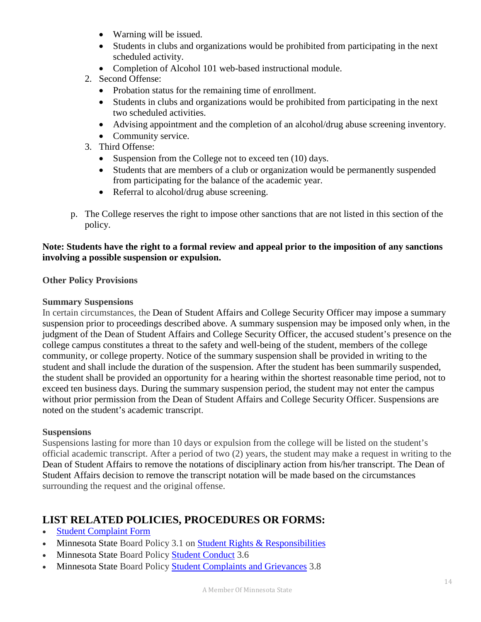- Warning will be issued.
- Students in clubs and organizations would be prohibited from participating in the next scheduled activity.
- Completion of Alcohol 101 web-based instructional module.
- 2. Second Offense:
	- Probation status for the remaining time of enrollment.
	- Students in clubs and organizations would be prohibited from participating in the next two scheduled activities.
	- Advising appointment and the completion of an alcohol/drug abuse screening inventory.
	- Community service.
- 3. Third Offense:
	- Suspension from the College not to exceed ten (10) days.
	- Students that are members of a club or organization would be permanently suspended from participating for the balance of the academic year.
	- Referral to alcohol/drug abuse screening.
- p. The College reserves the right to impose other sanctions that are not listed in this section of the policy.

#### **Note: Students have the right to a formal review and appeal prior to the imposition of any sanctions involving a possible suspension or expulsion.**

#### **Other Policy Provisions**

#### **Summary Suspensions**

In certain circumstances, the Dean of Student Affairs and College Security Officer may impose a summary suspension prior to proceedings described above. A summary suspension may be imposed only when, in the judgment of the Dean of Student Affairs and College Security Officer, the accused student's presence on the college campus constitutes a threat to the safety and well-being of the student, members of the college community, or college property. Notice of the summary suspension shall be provided in writing to the student and shall include the duration of the suspension. After the student has been summarily suspended, the student shall be provided an opportunity for a hearing within the shortest reasonable time period, not to exceed ten business days. During the summary suspension period, the student may not enter the campus without prior permission from the Dean of Student Affairs and College Security Officer. Suspensions are noted on the student's academic transcript.

#### **Suspensions**

Suspensions lasting for more than 10 days or expulsion from the college will be listed on the student's official academic transcript. After a period of two (2) years, the student may make a request in writing to the Dean of Student Affairs to remove the notations of disciplinary action from his/her transcript. The Dean of Student Affairs decision to remove the transcript notation will be made based on the circumstances surrounding the request and the original offense.

# **LIST RELATED POLICIES, PROCEDURES OR FORMS:**

- [Student Complaint Form](https://www.riverland.edu/about-riverland/preventing-and-reporting-harassment-discrimination-sexual-violence-and-misconduct/report-complaint/)
- Minnesota State Board Policy 3.1 on [Student Rights & Responsibilities](https://www.minnstate.edu/board/policy/301.html)
- Minnesota State Board Policy [Student Conduct](https://www.minnstate.edu/board/policy/306.html) 3.6
- Minnesota State Board Policy [Student Complaints and Grievances](https://www.minnstate.edu/board/policy/308.html) 3.8